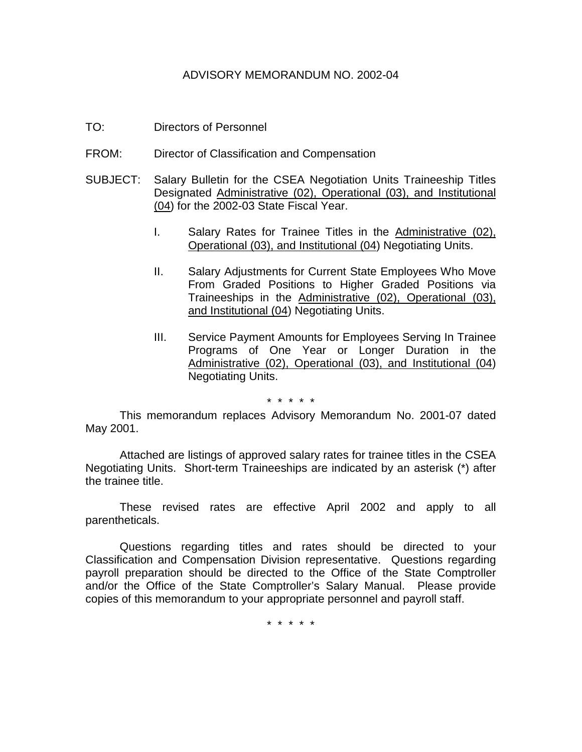#### ADVISORY MEMORANDUM NO. 2002-04

- TO: Directors of Personnel
- FROM: Director of Classification and Compensation
- SUBJECT: Salary Bulletin for the CSEA Negotiation Units Traineeship Titles Designated Administrative (02), Operational (03), and Institutional (04) for the 2002-03 State Fiscal Year.
	- I. Salary Rates for Trainee Titles in the Administrative (02), Operational (03), and Institutional (04) Negotiating Units.
	- II. Salary Adjustments for Current State Employees Who Move From Graded Positions to Higher Graded Positions via Traineeships in the Administrative (02), Operational (03), and Institutional (04) Negotiating Units.
	- III. Service Payment Amounts for Employees Serving In Trainee Programs of One Year or Longer Duration in the Administrative (02), Operational (03), and Institutional (04) Negotiating Units.

\* \* \* \* \*

This memorandum replaces Advisory Memorandum No. 2001-07 dated May 2001.

Attached are listings of approved salary rates for trainee titles in the CSEA Negotiating Units. Short-term Traineeships are indicated by an asterisk (\*) after the trainee title.

These revised rates are effective April 2002 and apply to all parentheticals.

Questions regarding titles and rates should be directed to your Classification and Compensation Division representative. Questions regarding payroll preparation should be directed to the Office of the State Comptroller and/or the Office of the State Comptroller's Salary Manual. Please provide copies of this memorandum to your appropriate personnel and payroll staff.

\* \* \* \* \*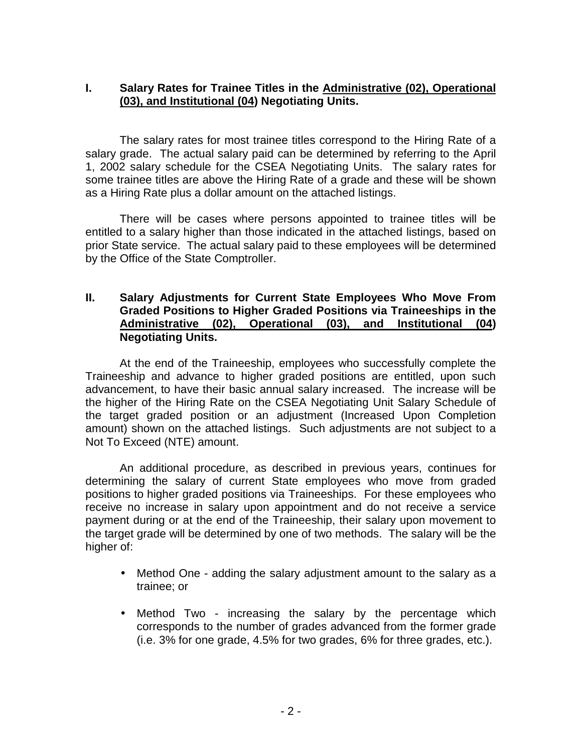# **I. Salary Rates for Trainee Titles in the Administrative (02), Operational (03), and Institutional (04) Negotiating Units.**

The salary rates for most trainee titles correspond to the Hiring Rate of a salary grade. The actual salary paid can be determined by referring to the April 1, 2002 salary schedule for the CSEA Negotiating Units. The salary rates for some trainee titles are above the Hiring Rate of a grade and these will be shown as a Hiring Rate plus a dollar amount on the attached listings.

There will be cases where persons appointed to trainee titles will be entitled to a salary higher than those indicated in the attached listings, based on prior State service. The actual salary paid to these employees will be determined by the Office of the State Comptroller.

#### **II. Salary Adjustments for Current State Employees Who Move From Graded Positions to Higher Graded Positions via Traineeships in the Administrative (02), Operational (03), and Institutional (04) Negotiating Units.**

At the end of the Traineeship, employees who successfully complete the Traineeship and advance to higher graded positions are entitled, upon such advancement, to have their basic annual salary increased. The increase will be the higher of the Hiring Rate on the CSEA Negotiating Unit Salary Schedule of the target graded position or an adjustment (Increased Upon Completion amount) shown on the attached listings. Such adjustments are not subject to a Not To Exceed (NTE) amount.

An additional procedure, as described in previous years, continues for determining the salary of current State employees who move from graded positions to higher graded positions via Traineeships. For these employees who receive no increase in salary upon appointment and do not receive a service payment during or at the end of the Traineeship, their salary upon movement to the target grade will be determined by one of two methods. The salary will be the higher of:

- Method One adding the salary adjustment amount to the salary as a trainee; or
- Method Two increasing the salary by the percentage which corresponds to the number of grades advanced from the former grade (i.e. 3% for one grade, 4.5% for two grades, 6% for three grades, etc.).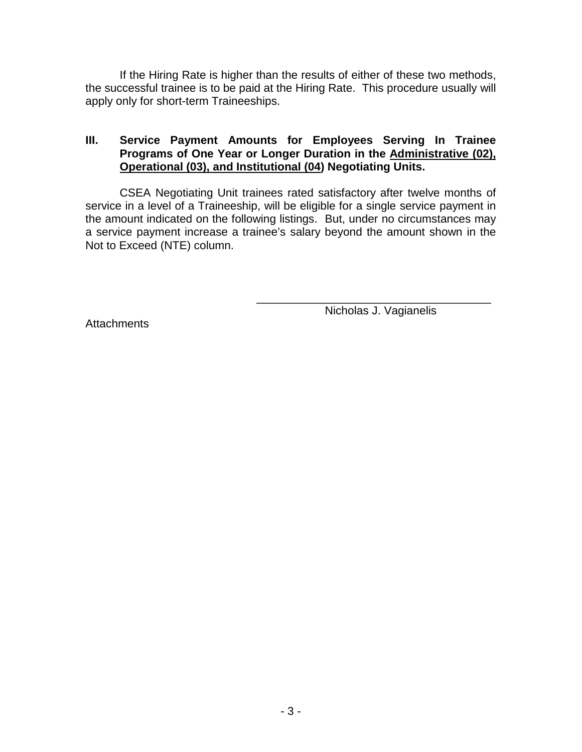If the Hiring Rate is higher than the results of either of these two methods, the successful trainee is to be paid at the Hiring Rate. This procedure usually will apply only for short-term Traineeships.

# **III. Service Payment Amounts for Employees Serving In Trainee Programs of One Year or Longer Duration in the Administrative (02), Operational (03), and Institutional (04) Negotiating Units.**

CSEA Negotiating Unit trainees rated satisfactory after twelve months of service in a level of a Traineeship, will be eligible for a single service payment in the amount indicated on the following listings. But, under no circumstances may a service payment increase a trainee's salary beyond the amount shown in the Not to Exceed (NTE) column.

Nicholas J. Vagianelis

\_\_\_\_\_\_\_\_\_\_\_\_\_\_\_\_\_\_\_\_\_\_\_\_\_\_\_\_\_\_\_\_\_\_\_\_\_

**Attachments**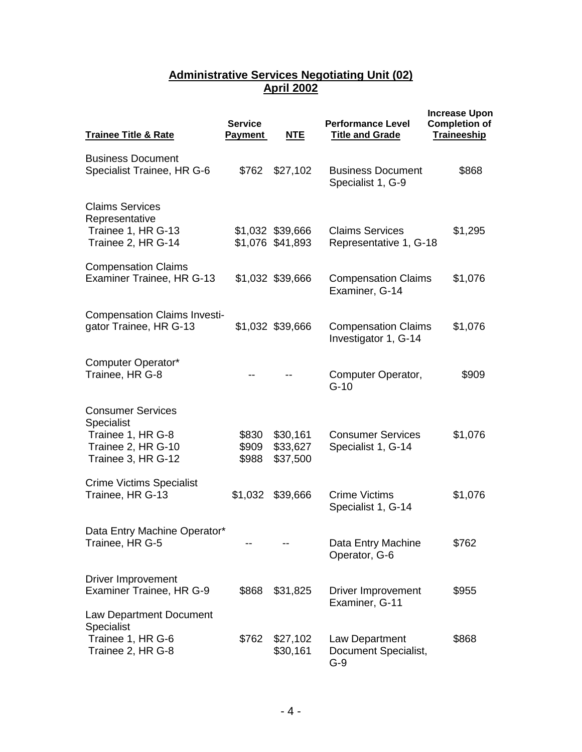### **Administrative Services Negotiating Unit (02) April 2002**

| <b>Trainee Title &amp; Rate</b>                                                                         | <b>Service</b><br><b>Payment</b> | <b>NTE</b>                           | <b>Performance Level</b><br><b>Title and Grade</b> | <b>Increase Upon</b><br><b>Completion of</b><br>Traineeship |
|---------------------------------------------------------------------------------------------------------|----------------------------------|--------------------------------------|----------------------------------------------------|-------------------------------------------------------------|
| <b>Business Document</b><br>Specialist Trainee, HR G-6                                                  | \$762                            | \$27,102                             | <b>Business Document</b><br>Specialist 1, G-9      | \$868                                                       |
| <b>Claims Services</b><br>Representative<br>Trainee 1, HR G-13<br>Trainee 2, HR G-14                    |                                  | \$1,032 \$39,666<br>\$1,076 \$41,893 | <b>Claims Services</b><br>Representative 1, G-18   | \$1,295                                                     |
| <b>Compensation Claims</b><br>Examiner Trainee, HR G-13                                                 |                                  | \$1,032 \$39,666                     | <b>Compensation Claims</b><br>Examiner, G-14       | \$1,076                                                     |
| <b>Compensation Claims Investi-</b><br>gator Trainee, HR G-13                                           |                                  | \$1,032 \$39,666                     | <b>Compensation Claims</b><br>Investigator 1, G-14 | \$1,076                                                     |
| Computer Operator*<br>Trainee, HR G-8                                                                   |                                  |                                      | Computer Operator,<br>$G-10$                       | \$909                                                       |
| <b>Consumer Services</b><br>Specialist<br>Trainee 1, HR G-8<br>Trainee 2, HR G-10<br>Trainee 3, HR G-12 | \$830<br>\$909<br>\$988          | \$30,161<br>\$33,627<br>\$37,500     | <b>Consumer Services</b><br>Specialist 1, G-14     | \$1,076                                                     |
| <b>Crime Victims Specialist</b><br>Trainee, HR G-13                                                     | \$1,032                          | \$39,666                             | <b>Crime Victims</b><br>Specialist 1, G-14         | \$1,076                                                     |
| Data Entry Machine Operator*<br>Trainee, HR G-5                                                         |                                  |                                      | Data Entry Machine<br>Operator, G-6                | \$762                                                       |
| <b>Driver Improvement</b><br>Examiner Trainee, HR G-9                                                   | \$868                            | \$31,825                             | <b>Driver Improvement</b><br>Examiner, G-11        | \$955                                                       |
| Law Department Document<br>Specialist<br>Trainee 1, HR G-6<br>Trainee 2, HR G-8                         | \$762                            | \$27,102<br>\$30,161                 | Law Department<br>Document Specialist,<br>$G-9$    | \$868                                                       |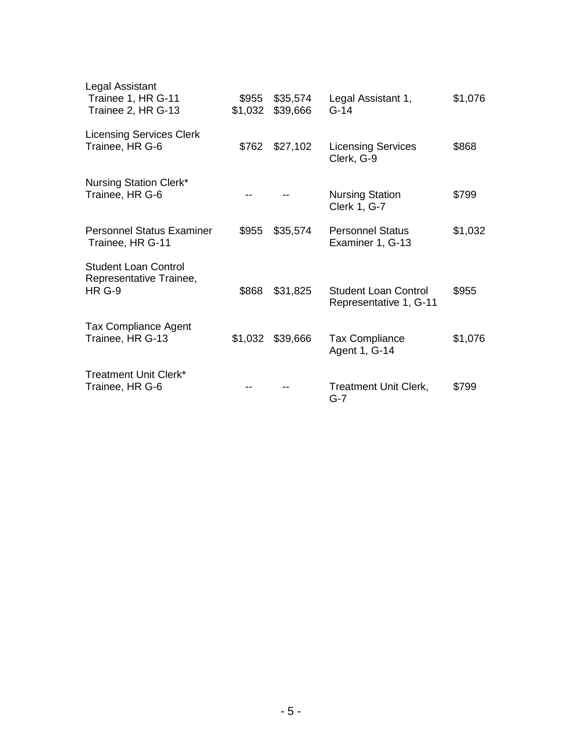| Legal Assistant<br>Trainee 1, HR G-11<br>Trainee 2, HR G-13             | \$955<br>\$1,032 | \$35,574<br>\$39,666 | Legal Assistant 1,<br>$G-14$                          | \$1,076 |
|-------------------------------------------------------------------------|------------------|----------------------|-------------------------------------------------------|---------|
| <b>Licensing Services Clerk</b><br>Trainee, HR G-6                      | \$762            | \$27,102             | <b>Licensing Services</b><br>Clerk, G-9               | \$868   |
| Nursing Station Clerk*<br>Trainee, HR G-6                               |                  |                      | <b>Nursing Station</b><br><b>Clerk 1, G-7</b>         | \$799   |
| <b>Personnel Status Examiner</b><br>Trainee, HR G-11                    | \$955            | \$35,574             | <b>Personnel Status</b><br>Examiner 1, G-13           | \$1,032 |
| <b>Student Loan Control</b><br>Representative Trainee,<br><b>HR G-9</b> | \$868            | \$31,825             | <b>Student Loan Control</b><br>Representative 1, G-11 | \$955   |
| <b>Tax Compliance Agent</b><br>Trainee, HR G-13                         |                  | \$1,032 \$39,666     | <b>Tax Compliance</b><br>Agent 1, G-14                | \$1,076 |
| <b>Treatment Unit Clerk*</b><br>Trainee, HR G-6                         |                  |                      | <b>Treatment Unit Clerk,</b><br>G-7                   | \$799   |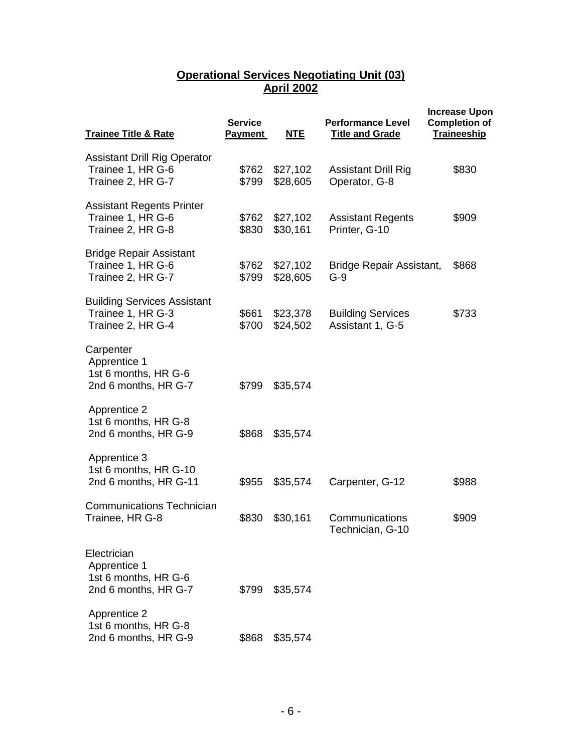## **Operational Services Negotiating Unit (03) April 2002**

| <b>Trainee Title &amp; Rate</b>                                               | <b>Service</b><br><b>Payment</b> | <b>NTE</b>           | <b>Performance Level</b><br><b>Title and Grade</b> | <b>Increase Upon</b><br><b>Completion of</b><br><b>Traineeship</b> |
|-------------------------------------------------------------------------------|----------------------------------|----------------------|----------------------------------------------------|--------------------------------------------------------------------|
| <b>Assistant Drill Rig Operator</b><br>Trainee 1, HR G-6<br>Trainee 2, HR G-7 | \$762<br>\$799                   | \$27,102<br>\$28,605 | <b>Assistant Drill Rig</b><br>Operator, G-8        | \$830                                                              |
| <b>Assistant Regents Printer</b><br>Trainee 1, HR G-6<br>Trainee 2, HR G-8    | \$762<br>\$830                   | \$27,102<br>\$30,161 | <b>Assistant Regents</b><br>Printer, G-10          | \$909                                                              |
| <b>Bridge Repair Assistant</b><br>Trainee 1, HR G-6<br>Trainee 2, HR G-7      | \$762<br>\$799                   | \$27,102<br>\$28,605 | Bridge Repair Assistant,<br>$G-9$                  | \$868                                                              |
| <b>Building Services Assistant</b><br>Trainee 1, HR G-3<br>Trainee 2, HR G-4  | \$661<br>\$700                   | \$23,378<br>\$24,502 | <b>Building Services</b><br>Assistant 1, G-5       | \$733                                                              |
| Carpenter<br>Apprentice 1<br>1st 6 months, HR G-6<br>2nd 6 months, HR G-7     | \$799                            | \$35,574             |                                                    |                                                                    |
| <b>Apprentice 2</b><br>1st 6 months, HR G-8<br>2nd 6 months, HR G-9           | \$868                            | \$35,574             |                                                    |                                                                    |
| Apprentice 3<br>1st 6 months, HR G-10<br>2nd 6 months, HR G-11                | \$955                            | \$35,574             | Carpenter, G-12                                    | \$988                                                              |
| <b>Communications Technician</b><br>Trainee, HR G-8                           | \$830                            | \$30,161             | Communications<br>Technician, G-10                 | \$909                                                              |
| Electrician<br>Apprentice 1<br>1st 6 months, HR G-6<br>2nd 6 months, HR G-7   | \$799                            | \$35,574             |                                                    |                                                                    |
| <b>Apprentice 2</b><br>1st 6 months, HR G-8<br>2nd 6 months, HR G-9           | \$868                            | \$35,574             |                                                    |                                                                    |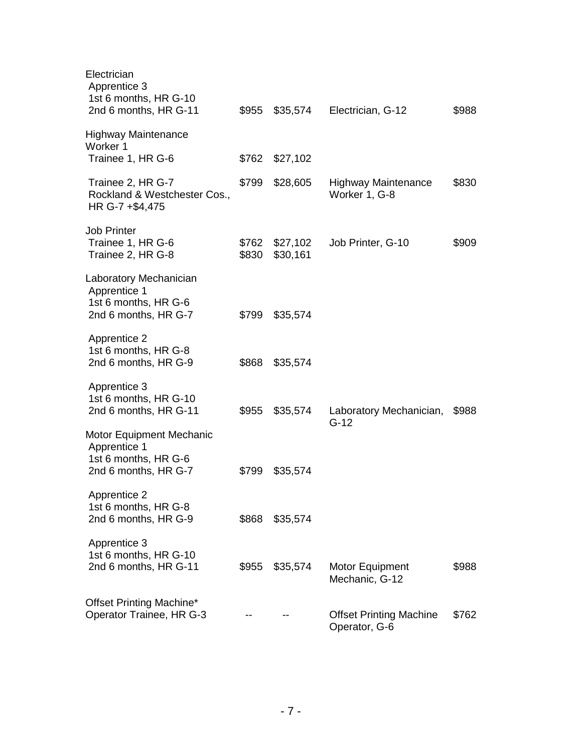| Electrician<br>Apprentice 3<br>1st 6 months, HR G-10<br>2nd 6 months, HR G-11                   | \$955          | \$35,574             | Electrician, G-12                               | \$988 |
|-------------------------------------------------------------------------------------------------|----------------|----------------------|-------------------------------------------------|-------|
| <b>Highway Maintenance</b><br>Worker 1<br>Trainee 1, HR G-6                                     | \$762          | \$27,102             |                                                 |       |
| Trainee 2, HR G-7<br>Rockland & Westchester Cos.,<br>HR G-7 +\$4,475                            | \$799          | \$28,605             | <b>Highway Maintenance</b><br>Worker 1, G-8     | \$830 |
| <b>Job Printer</b><br>Trainee 1, HR G-6<br>Trainee 2, HR G-8                                    | \$762<br>\$830 | \$27,102<br>\$30,161 | Job Printer, G-10                               | \$909 |
| Laboratory Mechanician<br>Apprentice 1<br>1st 6 months, HR G-6<br>2nd 6 months, HR G-7          | \$799          | \$35,574             |                                                 |       |
| <b>Apprentice 2</b><br>1st 6 months, HR G-8<br>2nd 6 months, HR G-9                             | \$868          | \$35,574             |                                                 |       |
| Apprentice 3<br>1st 6 months, HR G-10<br>2nd 6 months, HR G-11                                  | \$955          | \$35,574             | Laboratory Mechanician,<br>$G-12$               | \$988 |
| <b>Motor Equipment Mechanic</b><br>Apprentice 1<br>1st 6 months, HR G-6<br>2nd 6 months, HR G-7 | \$799          | \$35,574             |                                                 |       |
| Apprentice 2<br>1st 6 months, HR G-8<br>2nd 6 months, HR G-9                                    | \$868          | \$35,574             |                                                 |       |
| Apprentice 3<br>1st 6 months, HR G-10<br>2nd 6 months, HR G-11                                  | \$955          | \$35,574             | <b>Motor Equipment</b><br>Mechanic, G-12        | \$988 |
| Offset Printing Machine*<br>Operator Trainee, HR G-3                                            |                |                      | <b>Offset Printing Machine</b><br>Operator, G-6 | \$762 |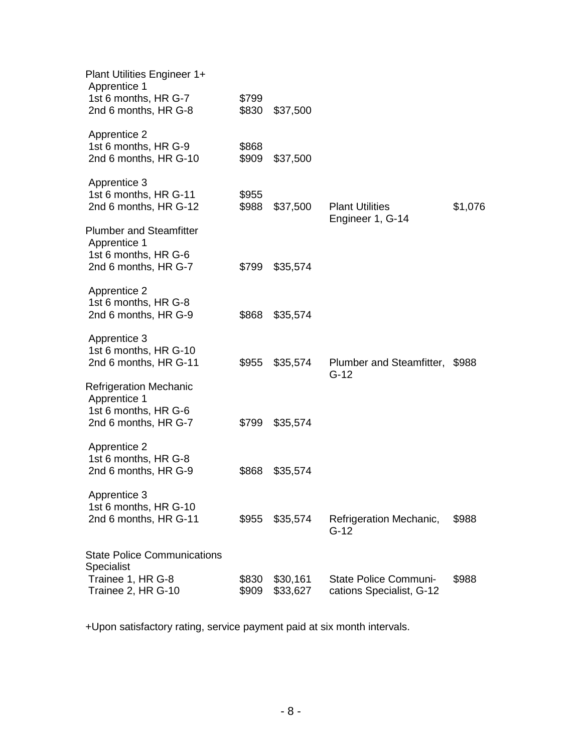| Plant Utilities Engineer 1+<br>Apprentice 1                                                    |                |                      |                                                   |         |
|------------------------------------------------------------------------------------------------|----------------|----------------------|---------------------------------------------------|---------|
| 1st 6 months, HR G-7<br>2nd 6 months, HR G-8                                                   | \$799<br>\$830 | \$37,500             |                                                   |         |
| <b>Apprentice 2</b><br>1st 6 months, HR G-9<br>2nd 6 months, HR G-10                           | \$868<br>\$909 | \$37,500             |                                                   |         |
| Apprentice 3<br>1st 6 months, HR G-11<br>2nd 6 months, HR G-12                                 | \$955<br>\$988 | \$37,500             | <b>Plant Utilities</b><br>Engineer 1, G-14        | \$1,076 |
| <b>Plumber and Steamfitter</b><br>Apprentice 1<br>1st 6 months, HR G-6<br>2nd 6 months, HR G-7 | \$799          | \$35,574             |                                                   |         |
| <b>Apprentice 2</b><br>1st 6 months, HR G-8<br>2nd 6 months, HR G-9                            | \$868          | \$35,574             |                                                   |         |
| Apprentice 3<br>1st 6 months, HR G-10<br>2nd 6 months, HR G-11                                 | \$955          | \$35,574             | Plumber and Steamfitter,<br>$G-12$                | \$988   |
| <b>Refrigeration Mechanic</b><br>Apprentice 1<br>1st 6 months, HR G-6<br>2nd 6 months, HR G-7  | \$799          | \$35,574             |                                                   |         |
| <b>Apprentice 2</b><br>1st 6 months, HR G-8<br>2nd 6 months, HR G-9                            | \$868          | \$35,574             |                                                   |         |
| Apprentice 3<br>1st 6 months, HR G-10<br>2nd 6 months, HR G-11                                 | \$955          | \$35,574             | Refrigeration Mechanic,<br>$G-12$                 | \$988   |
| <b>State Police Communications</b><br>Specialist                                               |                |                      |                                                   |         |
| Trainee 1, HR G-8<br>Trainee 2, HR G-10                                                        | \$830<br>\$909 | \$30,161<br>\$33,627 | State Police Communi-<br>cations Specialist, G-12 | \$988   |

+Upon satisfactory rating, service payment paid at six month intervals.